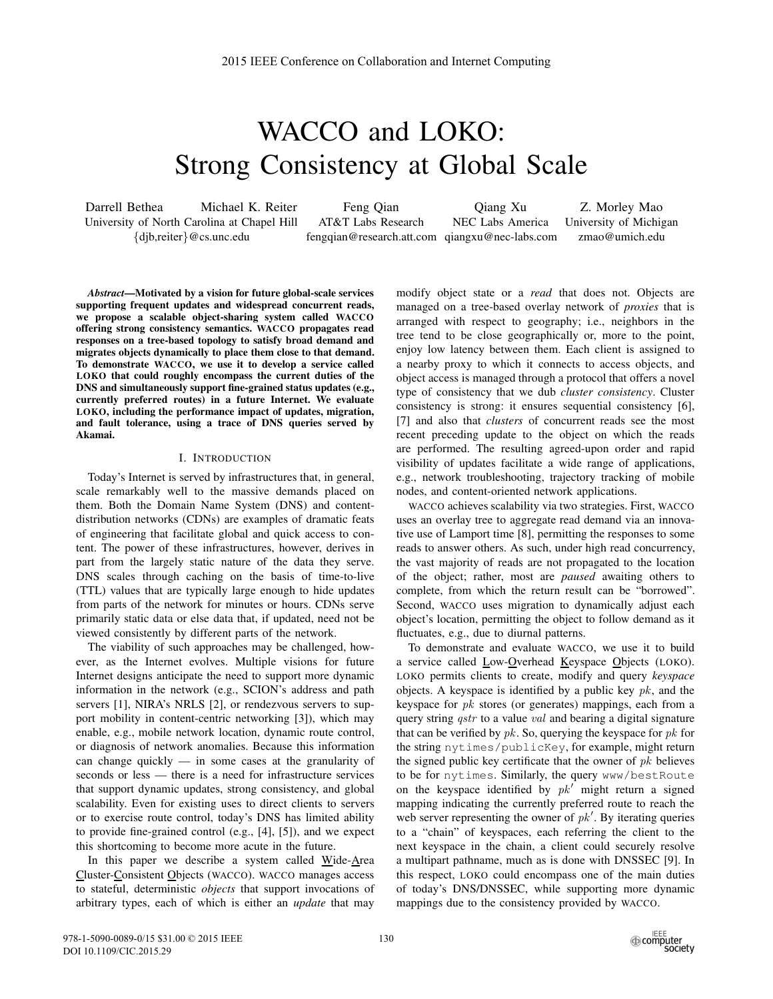# WACCO and LOKO: Strong Consistency at Global Scale

Darrell Bethea Michael K. Reiter University of North Carolina at Chapel Hill {djb,reiter}@cs.unc.edu

Feng Qian AT&T Labs Research

fengqian@research.att.com qiangxu@nec-labs.com Qiang Xu NEC Labs America

Z. Morley Mao University of Michigan zmao@umich.edu

*Abstract*—Motivated by a vision for future global-scale services supporting frequent updates and widespread concurrent reads, we propose a scalable object-sharing system called WACCO offering strong consistency semantics. WACCO propagates read responses on a tree-based topology to satisfy broad demand and migrates objects dynamically to place them close to that demand. To demonstrate WACCO, we use it to develop a service called LOKO that could roughly encompass the current duties of the DNS and simultaneously support fine-grained status updates (e.g., currently preferred routes) in a future Internet. We evaluate LOKO, including the performance impact of updates, migration, and fault tolerance, using a trace of DNS queries served by Akamai.

# I. INTRODUCTION

Today's Internet is served by infrastructures that, in general, scale remarkably well to the massive demands placed on them. Both the Domain Name System (DNS) and contentdistribution networks (CDNs) are examples of dramatic feats of engineering that facilitate global and quick access to content. The power of these infrastructures, however, derives in part from the largely static nature of the data they serve. DNS scales through caching on the basis of time-to-live (TTL) values that are typically large enough to hide updates from parts of the network for minutes or hours. CDNs serve primarily static data or else data that, if updated, need not be viewed consistently by different parts of the network.

The viability of such approaches may be challenged, however, as the Internet evolves. Multiple visions for future Internet designs anticipate the need to support more dynamic information in the network (e.g., SCION's address and path servers [1], NIRA's NRLS [2], or rendezvous servers to support mobility in content-centric networking [3]), which may enable, e.g., mobile network location, dynamic route control, or diagnosis of network anomalies. Because this information can change quickly — in some cases at the granularity of seconds or less — there is a need for infrastructure services that support dynamic updates, strong consistency, and global scalability. Even for existing uses to direct clients to servers or to exercise route control, today's DNS has limited ability to provide fine-grained control (e.g., [4], [5]), and we expect this shortcoming to become more acute in the future.

In this paper we describe a system called  $W$ ide- $\triangle$ rea Cluster-Consistent Objects (WACCO). WACCO manages access to stateful, deterministic *objects* that support invocations of arbitrary types, each of which is either an *update* that may modify object state or a *read* that does not. Objects are managed on a tree-based overlay network of *proxies* that is arranged with respect to geography; i.e., neighbors in the tree tend to be close geographically or, more to the point, enjoy low latency between them. Each client is assigned to a nearby proxy to which it connects to access objects, and object access is managed through a protocol that offers a novel type of consistency that we dub *cluster consistency*. Cluster consistency is strong: it ensures sequential consistency [6], [7] and also that *clusters* of concurrent reads see the most recent preceding update to the object on which the reads are performed. The resulting agreed-upon order and rapid visibility of updates facilitate a wide range of applications, e.g., network troubleshooting, trajectory tracking of mobile nodes, and content-oriented network applications.

WACCO achieves scalability via two strategies. First, WACCO uses an overlay tree to aggregate read demand via an innovative use of Lamport time [8], permitting the responses to some reads to answer others. As such, under high read concurrency, the vast majority of reads are not propagated to the location of the object; rather, most are *paused* awaiting others to complete, from which the return result can be "borrowed". Second, WACCO uses migration to dynamically adjust each object's location, permitting the object to follow demand as it fluctuates, e.g., due to diurnal patterns.

To demonstrate and evaluate WACCO, we use it to build a service called Low-Overhead Keyspace Objects (LOKO). LOKO permits clients to create, modify and query *keyspace* objects. A keyspace is identified by a public key  $pk$ , and the keyspace for  $pk$  stores (or generates) mappings, each from a query string *qstr* to a value *val* and bearing a digital signature that can be verified by  $pk$ . So, querying the keyspace for  $pk$  for the string nytimes/publicKey, for example, might return the signed public key certificate that the owner of  $pk$  believes to be for nytimes. Similarly, the query www/bestRoute on the keyspace identified by  $pk'$  might return a signed mapping indicating the currently preferred route to reach the web server representing the owner of  $pk'$ . By iterating queries to a "chain" of keyspaces, each referring the client to the next keyspace in the chain, a client could securely resolve a multipart pathname, much as is done with DNSSEC [9]. In this respect, LOKO could encompass one of the main duties of today's DNS/DNSSEC, while supporting more dynamic mappings due to the consistency provided by WACCO.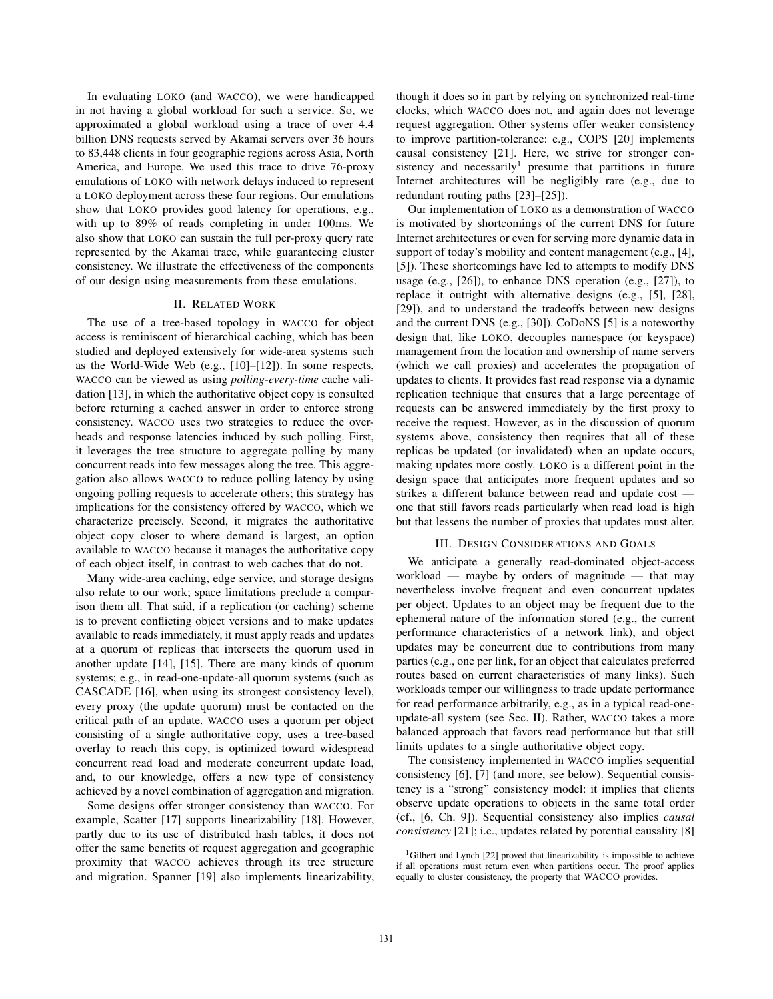In evaluating LOKO (and WACCO), we were handicapped in not having a global workload for such a service. So, we approximated a global workload using a trace of over 4.4 billion DNS requests served by Akamai servers over 36 hours to 83,448 clients in four geographic regions across Asia, North America, and Europe. We used this trace to drive 76-proxy emulations of LOKO with network delays induced to represent a LOKO deployment across these four regions. Our emulations show that LOKO provides good latency for operations, e.g., with up to 89% of reads completing in under 100ms. We also show that LOKO can sustain the full per-proxy query rate represented by the Akamai trace, while guaranteeing cluster consistency. We illustrate the effectiveness of the components of our design using measurements from these emulations.

# II. RELATED WORK

The use of a tree-based topology in WACCO for object access is reminiscent of hierarchical caching, which has been studied and deployed extensively for wide-area systems such as the World-Wide Web (e.g., [10]–[12]). In some respects, WACCO can be viewed as using *polling-every-time* cache validation [13], in which the authoritative object copy is consulted before returning a cached answer in order to enforce strong consistency. WACCO uses two strategies to reduce the overheads and response latencies induced by such polling. First, it leverages the tree structure to aggregate polling by many concurrent reads into few messages along the tree. This aggregation also allows WACCO to reduce polling latency by using ongoing polling requests to accelerate others; this strategy has implications for the consistency offered by WACCO, which we characterize precisely. Second, it migrates the authoritative object copy closer to where demand is largest, an option available to WACCO because it manages the authoritative copy of each object itself, in contrast to web caches that do not.

Many wide-area caching, edge service, and storage designs also relate to our work; space limitations preclude a comparison them all. That said, if a replication (or caching) scheme is to prevent conflicting object versions and to make updates available to reads immediately, it must apply reads and updates at a quorum of replicas that intersects the quorum used in another update [14], [15]. There are many kinds of quorum systems; e.g., in read-one-update-all quorum systems (such as CASCADE [16], when using its strongest consistency level), every proxy (the update quorum) must be contacted on the critical path of an update. WACCO uses a quorum per object consisting of a single authoritative copy, uses a tree-based overlay to reach this copy, is optimized toward widespread concurrent read load and moderate concurrent update load, and, to our knowledge, offers a new type of consistency achieved by a novel combination of aggregation and migration.

Some designs offer stronger consistency than WACCO. For example, Scatter [17] supports linearizability [18]. However, partly due to its use of distributed hash tables, it does not offer the same benefits of request aggregation and geographic proximity that WACCO achieves through its tree structure and migration. Spanner [19] also implements linearizability, though it does so in part by relying on synchronized real-time clocks, which WACCO does not, and again does not leverage request aggregation. Other systems offer weaker consistency to improve partition-tolerance: e.g., COPS [20] implements causal consistency [21]. Here, we strive for stronger consistency and necessarily<sup>1</sup> presume that partitions in future Internet architectures will be negligibly rare (e.g., due to redundant routing paths [23]–[25]).

Our implementation of LOKO as a demonstration of WACCO is motivated by shortcomings of the current DNS for future Internet architectures or even for serving more dynamic data in support of today's mobility and content management (e.g., [4], [5]). These shortcomings have led to attempts to modify DNS usage (e.g., [26]), to enhance DNS operation (e.g., [27]), to replace it outright with alternative designs (e.g., [5], [28], [29]), and to understand the tradeoffs between new designs and the current DNS (e.g., [30]). CoDoNS [5] is a noteworthy design that, like LOKO, decouples namespace (or keyspace) management from the location and ownership of name servers (which we call proxies) and accelerates the propagation of updates to clients. It provides fast read response via a dynamic replication technique that ensures that a large percentage of requests can be answered immediately by the first proxy to receive the request. However, as in the discussion of quorum systems above, consistency then requires that all of these replicas be updated (or invalidated) when an update occurs, making updates more costly. LOKO is a different point in the design space that anticipates more frequent updates and so strikes a different balance between read and update cost one that still favors reads particularly when read load is high but that lessens the number of proxies that updates must alter.

## III. DESIGN CONSIDERATIONS AND GOALS

We anticipate a generally read-dominated object-access workload — maybe by orders of magnitude — that may nevertheless involve frequent and even concurrent updates per object. Updates to an object may be frequent due to the ephemeral nature of the information stored (e.g., the current performance characteristics of a network link), and object updates may be concurrent due to contributions from many parties (e.g., one per link, for an object that calculates preferred routes based on current characteristics of many links). Such workloads temper our willingness to trade update performance for read performance arbitrarily, e.g., as in a typical read-oneupdate-all system (see Sec. II). Rather, WACCO takes a more balanced approach that favors read performance but that still limits updates to a single authoritative object copy.

The consistency implemented in WACCO implies sequential consistency [6], [7] (and more, see below). Sequential consistency is a "strong" consistency model: it implies that clients observe update operations to objects in the same total order (cf., [6, Ch. 9]). Sequential consistency also implies *causal consistency* [21]; i.e., updates related by potential causality [8]

 $1$ Gilbert and Lynch [22] proved that linearizability is impossible to achieve if all operations must return even when partitions occur. The proof applies equally to cluster consistency, the property that WACCO provides.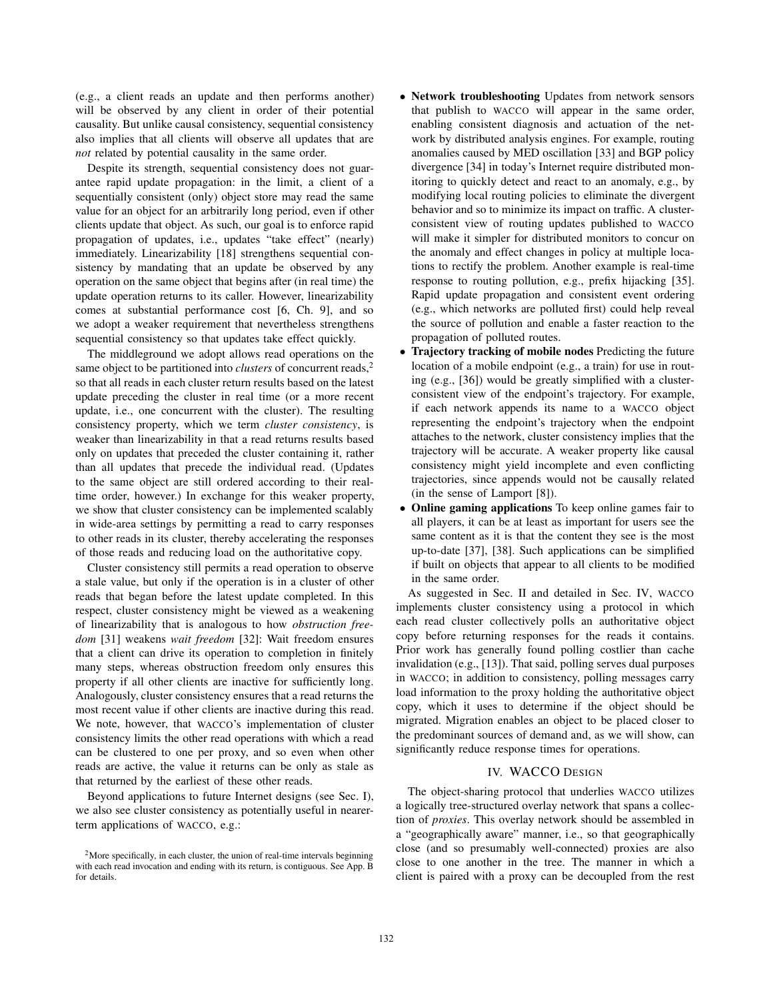(e.g., a client reads an update and then performs another) will be observed by any client in order of their potential causality. But unlike causal consistency, sequential consistency also implies that all clients will observe all updates that are *not* related by potential causality in the same order.

Despite its strength, sequential consistency does not guarantee rapid update propagation: in the limit, a client of a sequentially consistent (only) object store may read the same value for an object for an arbitrarily long period, even if other clients update that object. As such, our goal is to enforce rapid propagation of updates, i.e., updates "take effect" (nearly) immediately. Linearizability [18] strengthens sequential consistency by mandating that an update be observed by any operation on the same object that begins after (in real time) the update operation returns to its caller. However, linearizability comes at substantial performance cost [6, Ch. 9], and so we adopt a weaker requirement that nevertheless strengthens sequential consistency so that updates take effect quickly.

The middleground we adopt allows read operations on the same object to be partitioned into *clusters* of concurrent reads,2 so that all reads in each cluster return results based on the latest update preceding the cluster in real time (or a more recent update, i.e., one concurrent with the cluster). The resulting consistency property, which we term *cluster consistency*, is weaker than linearizability in that a read returns results based only on updates that preceded the cluster containing it, rather than all updates that precede the individual read. (Updates to the same object are still ordered according to their realtime order, however.) In exchange for this weaker property, we show that cluster consistency can be implemented scalably in wide-area settings by permitting a read to carry responses to other reads in its cluster, thereby accelerating the responses of those reads and reducing load on the authoritative copy.

Cluster consistency still permits a read operation to observe a stale value, but only if the operation is in a cluster of other reads that began before the latest update completed. In this respect, cluster consistency might be viewed as a weakening of linearizability that is analogous to how *obstruction freedom* [31] weakens *wait freedom* [32]: Wait freedom ensures that a client can drive its operation to completion in finitely many steps, whereas obstruction freedom only ensures this property if all other clients are inactive for sufficiently long. Analogously, cluster consistency ensures that a read returns the most recent value if other clients are inactive during this read. We note, however, that WACCO's implementation of cluster consistency limits the other read operations with which a read can be clustered to one per proxy, and so even when other reads are active, the value it returns can be only as stale as that returned by the earliest of these other reads.

Beyond applications to future Internet designs (see Sec. I), we also see cluster consistency as potentially useful in nearerterm applications of WACCO, e.g.:

- Network troubleshooting Updates from network sensors that publish to WACCO will appear in the same order, enabling consistent diagnosis and actuation of the network by distributed analysis engines. For example, routing anomalies caused by MED oscillation [33] and BGP policy divergence [34] in today's Internet require distributed monitoring to quickly detect and react to an anomaly, e.g., by modifying local routing policies to eliminate the divergent behavior and so to minimize its impact on traffic. A clusterconsistent view of routing updates published to WACCO will make it simpler for distributed monitors to concur on the anomaly and effect changes in policy at multiple locations to rectify the problem. Another example is real-time response to routing pollution, e.g., prefix hijacking [35]. Rapid update propagation and consistent event ordering (e.g., which networks are polluted first) could help reveal the source of pollution and enable a faster reaction to the propagation of polluted routes.
- Trajectory tracking of mobile nodes Predicting the future location of a mobile endpoint (e.g., a train) for use in routing (e.g., [36]) would be greatly simplified with a clusterconsistent view of the endpoint's trajectory. For example, if each network appends its name to a WACCO object representing the endpoint's trajectory when the endpoint attaches to the network, cluster consistency implies that the trajectory will be accurate. A weaker property like causal consistency might yield incomplete and even conflicting trajectories, since appends would not be causally related (in the sense of Lamport [8]).
- Online gaming applications To keep online games fair to all players, it can be at least as important for users see the same content as it is that the content they see is the most up-to-date [37], [38]. Such applications can be simplified if built on objects that appear to all clients to be modified in the same order.

As suggested in Sec. II and detailed in Sec. IV, WACCO implements cluster consistency using a protocol in which each read cluster collectively polls an authoritative object copy before returning responses for the reads it contains. Prior work has generally found polling costlier than cache invalidation (e.g., [13]). That said, polling serves dual purposes in WACCO; in addition to consistency, polling messages carry load information to the proxy holding the authoritative object copy, which it uses to determine if the object should be migrated. Migration enables an object to be placed closer to the predominant sources of demand and, as we will show, can significantly reduce response times for operations.

## IV. WACCO DESIGN

The object-sharing protocol that underlies WACCO utilizes a logically tree-structured overlay network that spans a collection of *proxies*. This overlay network should be assembled in a "geographically aware" manner, i.e., so that geographically close (and so presumably well-connected) proxies are also close to one another in the tree. The manner in which a client is paired with a proxy can be decoupled from the rest

<sup>&</sup>lt;sup>2</sup>More specifically, in each cluster, the union of real-time intervals beginning with each read invocation and ending with its return, is contiguous. See App. B for details.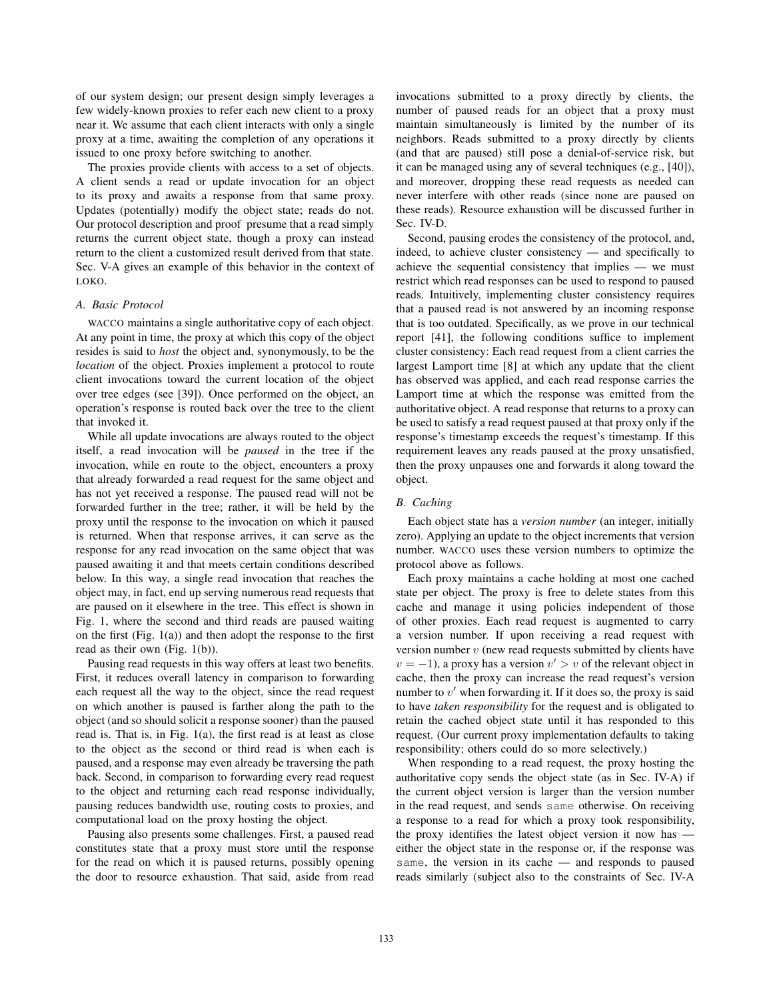of our system design; our present design simply leverages a few widely-known proxies to refer each new client to a proxy near it. We assume that each client interacts with only a single proxy at a time, awaiting the completion of any operations it issued to one proxy before switching to another.

The proxies provide clients with access to a set of objects. A client sends a read or update invocation for an object to its proxy and awaits a response from that same proxy. Updates (potentially) modify the object state; reads do not. Our protocol description and proof presume that a read simply returns the current object state, though a proxy can instead return to the client a customized result derived from that state. Sec. V-A gives an example of this behavior in the context of LOKO.

# *A. Basic Protocol*

WACCO maintains a single authoritative copy of each object. At any point in time, the proxy at which this copy of the object resides is said to *host* the object and, synonymously, to be the *location* of the object. Proxies implement a protocol to route client invocations toward the current location of the object over tree edges (see [39]). Once performed on the object, an operation's response is routed back over the tree to the client that invoked it.

While all update invocations are always routed to the object itself, a read invocation will be *paused* in the tree if the invocation, while en route to the object, encounters a proxy that already forwarded a read request for the same object and has not yet received a response. The paused read will not be forwarded further in the tree; rather, it will be held by the proxy until the response to the invocation on which it paused is returned. When that response arrives, it can serve as the response for any read invocation on the same object that was paused awaiting it and that meets certain conditions described below. In this way, a single read invocation that reaches the object may, in fact, end up serving numerous read requests that are paused on it elsewhere in the tree. This effect is shown in Fig. 1, where the second and third reads are paused waiting on the first  $(Fig. 1(a))$  and then adopt the response to the first read as their own (Fig. 1(b)).

Pausing read requests in this way offers at least two benefits. First, it reduces overall latency in comparison to forwarding each request all the way to the object, since the read request on which another is paused is farther along the path to the object (and so should solicit a response sooner) than the paused read is. That is, in Fig. 1(a), the first read is at least as close to the object as the second or third read is when each is paused, and a response may even already be traversing the path back. Second, in comparison to forwarding every read request to the object and returning each read response individually, pausing reduces bandwidth use, routing costs to proxies, and computational load on the proxy hosting the object.

Pausing also presents some challenges. First, a paused read constitutes state that a proxy must store until the response for the read on which it is paused returns, possibly opening the door to resource exhaustion. That said, aside from read

invocations submitted to a proxy directly by clients, the number of paused reads for an object that a proxy must maintain simultaneously is limited by the number of its neighbors. Reads submitted to a proxy directly by clients (and that are paused) still pose a denial-of-service risk, but it can be managed using any of several techniques (e.g., [40]), and moreover, dropping these read requests as needed can never interfere with other reads (since none are paused on these reads). Resource exhaustion will be discussed further in Sec. IV-D.

Second, pausing erodes the consistency of the protocol, and, indeed, to achieve cluster consistency — and specifically to achieve the sequential consistency that implies — we must restrict which read responses can be used to respond to paused reads. Intuitively, implementing cluster consistency requires that a paused read is not answered by an incoming response that is too outdated. Specifically, as we prove in our technical report [41], the following conditions suffice to implement cluster consistency: Each read request from a client carries the largest Lamport time [8] at which any update that the client has observed was applied, and each read response carries the Lamport time at which the response was emitted from the authoritative object. A read response that returns to a proxy can be used to satisfy a read request paused at that proxy only if the response's timestamp exceeds the request's timestamp. If this requirement leaves any reads paused at the proxy unsatisfied, then the proxy unpauses one and forwards it along toward the object.

## *B. Caching*

Each object state has a *version number* (an integer, initially zero). Applying an update to the object increments that version number. WACCO uses these version numbers to optimize the protocol above as follows.

Each proxy maintains a cache holding at most one cached state per object. The proxy is free to delete states from this cache and manage it using policies independent of those of other proxies. Each read request is augmented to carry a version number. If upon receiving a read request with version number  $v$  (new read requests submitted by clients have  $v = -1$ ), a proxy has a version  $v' > v$  of the relevant object in cache, then the proxy can increase the read request's version number to  $v'$  when forwarding it. If it does so, the proxy is said to have *taken responsibility* for the request and is obligated to retain the cached object state until it has responded to this request. (Our current proxy implementation defaults to taking responsibility; others could do so more selectively.)

When responding to a read request, the proxy hosting the authoritative copy sends the object state (as in Sec. IV-A) if the current object version is larger than the version number in the read request, and sends same otherwise. On receiving a response to a read for which a proxy took responsibility, the proxy identifies the latest object version it now has either the object state in the response or, if the response was same, the version in its cache — and responds to paused reads similarly (subject also to the constraints of Sec. IV-A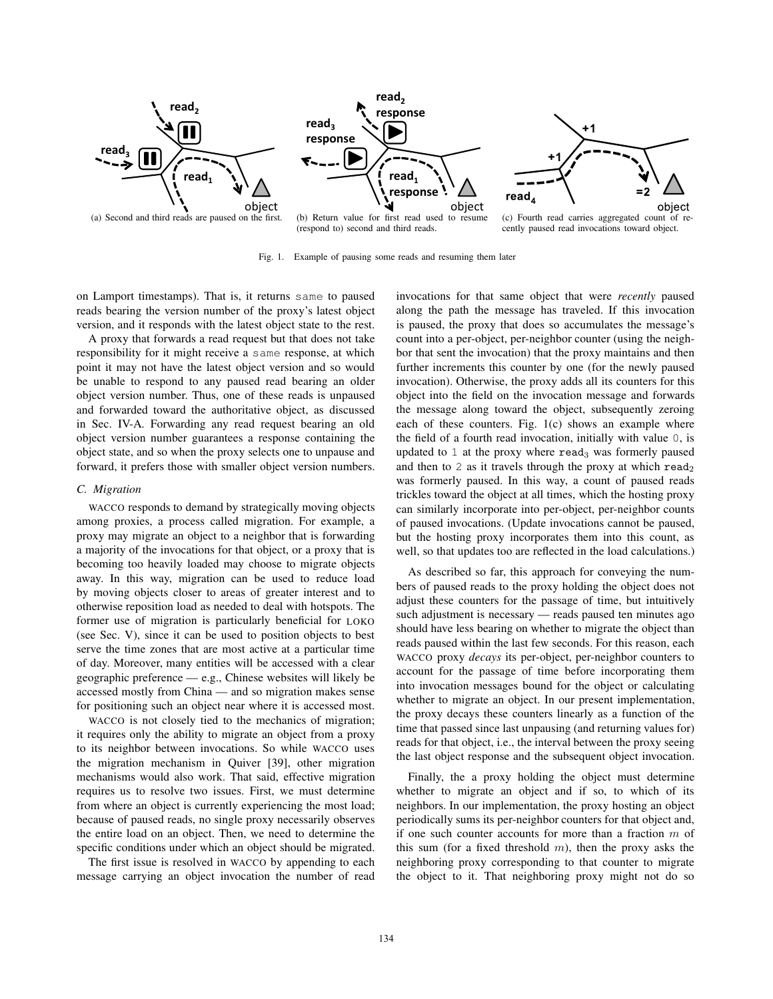

(respond to) second and third reads.

Fig. 1. Example of pausing some reads and resuming them later

on Lamport timestamps). That is, it returns same to paused reads bearing the version number of the proxy's latest object version, and it responds with the latest object state to the rest.

A proxy that forwards a read request but that does not take responsibility for it might receive a same response, at which point it may not have the latest object version and so would be unable to respond to any paused read bearing an older object version number. Thus, one of these reads is unpaused and forwarded toward the authoritative object, as discussed in Sec. IV-A. Forwarding any read request bearing an old object version number guarantees a response containing the object state, and so when the proxy selects one to unpause and forward, it prefers those with smaller object version numbers.

## *C. Migration*

WACCO responds to demand by strategically moving objects among proxies, a process called migration. For example, a proxy may migrate an object to a neighbor that is forwarding a majority of the invocations for that object, or a proxy that is becoming too heavily loaded may choose to migrate objects away. In this way, migration can be used to reduce load by moving objects closer to areas of greater interest and to otherwise reposition load as needed to deal with hotspots. The former use of migration is particularly beneficial for LOKO (see Sec. V), since it can be used to position objects to best serve the time zones that are most active at a particular time of day. Moreover, many entities will be accessed with a clear geographic preference — e.g., Chinese websites will likely be accessed mostly from China — and so migration makes sense for positioning such an object near where it is accessed most.

WACCO is not closely tied to the mechanics of migration; it requires only the ability to migrate an object from a proxy to its neighbor between invocations. So while WACCO uses the migration mechanism in Quiver [39], other migration mechanisms would also work. That said, effective migration requires us to resolve two issues. First, we must determine from where an object is currently experiencing the most load; because of paused reads, no single proxy necessarily observes the entire load on an object. Then, we need to determine the specific conditions under which an object should be migrated.

The first issue is resolved in WACCO by appending to each message carrying an object invocation the number of read invocations for that same object that were *recently* paused along the path the message has traveled. If this invocation is paused, the proxy that does so accumulates the message's count into a per-object, per-neighbor counter (using the neighbor that sent the invocation) that the proxy maintains and then further increments this counter by one (for the newly paused invocation). Otherwise, the proxy adds all its counters for this object into the field on the invocation message and forwards the message along toward the object, subsequently zeroing each of these counters. Fig. 1(c) shows an example where the field of a fourth read invocation, initially with value 0, is updated to  $1$  at the proxy where  $read_3$  was formerly paused and then to 2 as it travels through the proxy at which read<sub>2</sub> was formerly paused. In this way, a count of paused reads trickles toward the object at all times, which the hosting proxy can similarly incorporate into per-object, per-neighbor counts of paused invocations. (Update invocations cannot be paused, but the hosting proxy incorporates them into this count, as well, so that updates too are reflected in the load calculations.)

cently paused read invocations toward object.

As described so far, this approach for conveying the numbers of paused reads to the proxy holding the object does not adjust these counters for the passage of time, but intuitively such adjustment is necessary — reads paused ten minutes ago should have less bearing on whether to migrate the object than reads paused within the last few seconds. For this reason, each WACCO proxy *decays* its per-object, per-neighbor counters to account for the passage of time before incorporating them into invocation messages bound for the object or calculating whether to migrate an object. In our present implementation, the proxy decays these counters linearly as a function of the time that passed since last unpausing (and returning values for) reads for that object, i.e., the interval between the proxy seeing the last object response and the subsequent object invocation.

Finally, the a proxy holding the object must determine whether to migrate an object and if so, to which of its neighbors. In our implementation, the proxy hosting an object periodically sums its per-neighbor counters for that object and, if one such counter accounts for more than a fraction  $m$  of this sum (for a fixed threshold  $m$ ), then the proxy asks the neighboring proxy corresponding to that counter to migrate the object to it. That neighboring proxy might not do so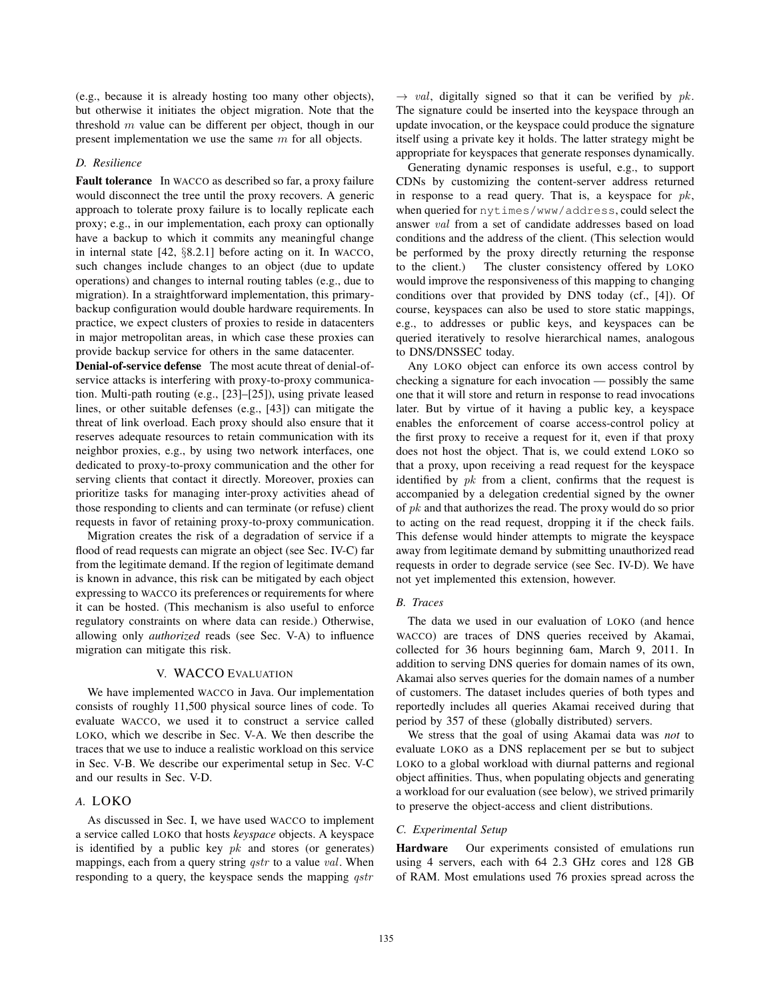(e.g., because it is already hosting too many other objects), but otherwise it initiates the object migration. Note that the threshold m value can be different per object, though in our present implementation we use the same m for all objects.

# *D. Resilience*

Fault tolerance In WACCO as described so far, a proxy failure would disconnect the tree until the proxy recovers. A generic approach to tolerate proxy failure is to locally replicate each proxy; e.g., in our implementation, each proxy can optionally have a backup to which it commits any meaningful change in internal state [42, §8.2.1] before acting on it. In WACCO, such changes include changes to an object (due to update operations) and changes to internal routing tables (e.g., due to migration). In a straightforward implementation, this primarybackup configuration would double hardware requirements. In practice, we expect clusters of proxies to reside in datacenters in major metropolitan areas, in which case these proxies can provide backup service for others in the same datacenter.

Denial-of-service defense The most acute threat of denial-ofservice attacks is interfering with proxy-to-proxy communication. Multi-path routing (e.g., [23]–[25]), using private leased lines, or other suitable defenses (e.g., [43]) can mitigate the threat of link overload. Each proxy should also ensure that it reserves adequate resources to retain communication with its neighbor proxies, e.g., by using two network interfaces, one dedicated to proxy-to-proxy communication and the other for serving clients that contact it directly. Moreover, proxies can prioritize tasks for managing inter-proxy activities ahead of those responding to clients and can terminate (or refuse) client requests in favor of retaining proxy-to-proxy communication.

Migration creates the risk of a degradation of service if a flood of read requests can migrate an object (see Sec. IV-C) far from the legitimate demand. If the region of legitimate demand is known in advance, this risk can be mitigated by each object expressing to WACCO its preferences or requirements for where it can be hosted. (This mechanism is also useful to enforce regulatory constraints on where data can reside.) Otherwise, allowing only *authorized* reads (see Sec. V-A) to influence migration can mitigate this risk.

## V. WACCO EVALUATION

We have implemented WACCO in Java. Our implementation consists of roughly 11,500 physical source lines of code. To evaluate WACCO, we used it to construct a service called LOKO, which we describe in Sec. V-A. We then describe the traces that we use to induce a realistic workload on this service in Sec. V-B. We describe our experimental setup in Sec. V-C and our results in Sec. V-D.

# *A.* LOKO

As discussed in Sec. I, we have used WACCO to implement a service called LOKO that hosts *keyspace* objects. A keyspace is identified by a public key  $pk$  and stores (or generates) mappings, each from a query string *qstr* to a value *val*. When responding to a query, the keyspace sends the mapping *qstr* 

 $\rightarrow$  val, digitally signed so that it can be verified by pk. The signature could be inserted into the keyspace through an update invocation, or the keyspace could produce the signature itself using a private key it holds. The latter strategy might be appropriate for keyspaces that generate responses dynamically.

Generating dynamic responses is useful, e.g., to support CDNs by customizing the content-server address returned in response to a read query. That is, a keyspace for  $pk$ , when queried for nytimes/www/address, could select the answer val from a set of candidate addresses based on load conditions and the address of the client. (This selection would be performed by the proxy directly returning the response to the client.) The cluster consistency offered by LOKO would improve the responsiveness of this mapping to changing conditions over that provided by DNS today (cf., [4]). Of course, keyspaces can also be used to store static mappings, e.g., to addresses or public keys, and keyspaces can be queried iteratively to resolve hierarchical names, analogous to DNS/DNSSEC today.

Any LOKO object can enforce its own access control by checking a signature for each invocation — possibly the same one that it will store and return in response to read invocations later. But by virtue of it having a public key, a keyspace enables the enforcement of coarse access-control policy at the first proxy to receive a request for it, even if that proxy does not host the object. That is, we could extend LOKO so that a proxy, upon receiving a read request for the keyspace identified by  $pk$  from a client, confirms that the request is accompanied by a delegation credential signed by the owner of  $pk$  and that authorizes the read. The proxy would do so prior to acting on the read request, dropping it if the check fails. This defense would hinder attempts to migrate the keyspace away from legitimate demand by submitting unauthorized read requests in order to degrade service (see Sec. IV-D). We have not yet implemented this extension, however.

# *B. Traces*

The data we used in our evaluation of LOKO (and hence WACCO) are traces of DNS queries received by Akamai, collected for 36 hours beginning 6am, March 9, 2011. In addition to serving DNS queries for domain names of its own, Akamai also serves queries for the domain names of a number of customers. The dataset includes queries of both types and reportedly includes all queries Akamai received during that period by 357 of these (globally distributed) servers.

We stress that the goal of using Akamai data was *not* to evaluate LOKO as a DNS replacement per se but to subject LOKO to a global workload with diurnal patterns and regional object affinities. Thus, when populating objects and generating a workload for our evaluation (see below), we strived primarily to preserve the object-access and client distributions.

## *C. Experimental Setup*

Hardware Our experiments consisted of emulations run using 4 servers, each with 64 2.3 GHz cores and 128 GB of RAM. Most emulations used 76 proxies spread across the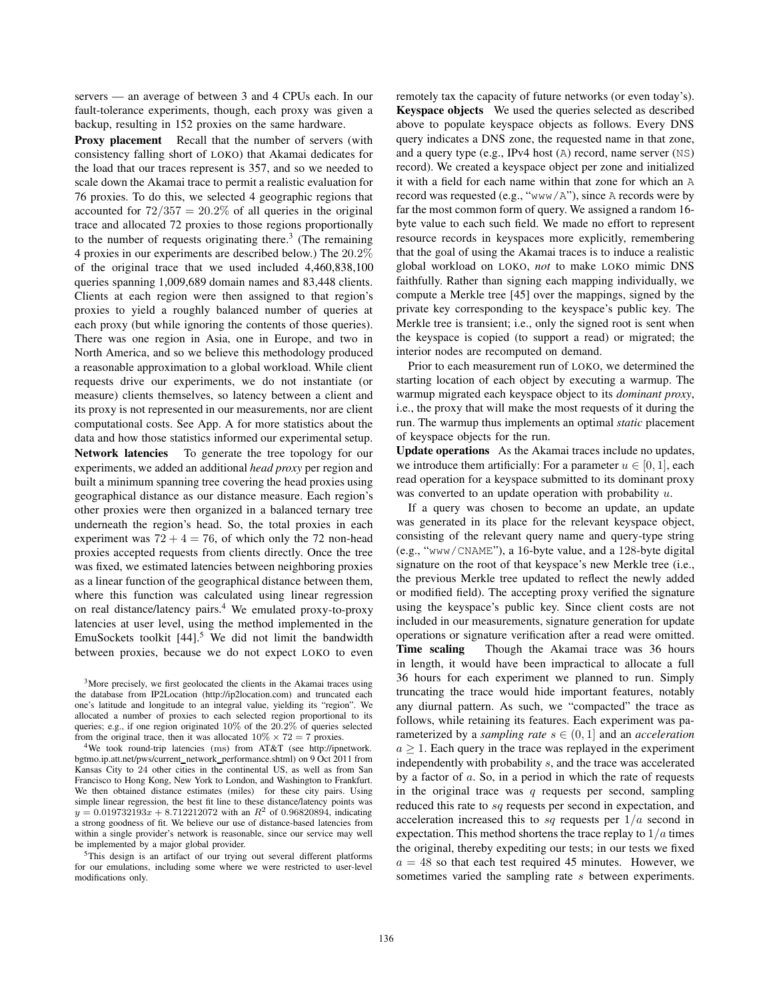servers — an average of between 3 and 4 CPUs each. In our fault-tolerance experiments, though, each proxy was given a backup, resulting in 152 proxies on the same hardware.

Proxy placement Recall that the number of servers (with consistency falling short of LOKO) that Akamai dedicates for the load that our traces represent is 357, and so we needed to scale down the Akamai trace to permit a realistic evaluation for 76 proxies. To do this, we selected 4 geographic regions that accounted for  $72/357 = 20.2\%$  of all queries in the original trace and allocated 72 proxies to those regions proportionally to the number of requests originating there.<sup>3</sup> (The remaining 4 proxies in our experiments are described below.) The 20.2% of the original trace that we used included 4,460,838,100 queries spanning 1,009,689 domain names and 83,448 clients. Clients at each region were then assigned to that region's proxies to yield a roughly balanced number of queries at each proxy (but while ignoring the contents of those queries). There was one region in Asia, one in Europe, and two in North America, and so we believe this methodology produced a reasonable approximation to a global workload. While client requests drive our experiments, we do not instantiate (or measure) clients themselves, so latency between a client and its proxy is not represented in our measurements, nor are client computational costs. See App. A for more statistics about the data and how those statistics informed our experimental setup. Network latencies To generate the tree topology for our experiments, we added an additional *head proxy* per region and built a minimum spanning tree covering the head proxies using geographical distance as our distance measure. Each region's other proxies were then organized in a balanced ternary tree underneath the region's head. So, the total proxies in each experiment was  $72 + 4 = 76$ , of which only the 72 non-head proxies accepted requests from clients directly. Once the tree was fixed, we estimated latencies between neighboring proxies as a linear function of the geographical distance between them, where this function was calculated using linear regression on real distance/latency pairs.4 We emulated proxy-to-proxy latencies at user level, using the method implemented in the EmuSockets toolkit  $[44]$ .<sup>5</sup> We did not limit the bandwidth between proxies, because we do not expect LOKO to even

remotely tax the capacity of future networks (or even today's). Keyspace objects We used the queries selected as described above to populate keyspace objects as follows. Every DNS query indicates a DNS zone, the requested name in that zone, and a query type (e.g., IPv4 host (A) record, name server (NS) record). We created a keyspace object per zone and initialized it with a field for each name within that zone for which an A record was requested (e.g., " $www/A$ "), since A records were by far the most common form of query. We assigned a random 16 byte value to each such field. We made no effort to represent resource records in keyspaces more explicitly, remembering that the goal of using the Akamai traces is to induce a realistic global workload on LOKO, *not* to make LOKO mimic DNS faithfully. Rather than signing each mapping individually, we compute a Merkle tree [45] over the mappings, signed by the private key corresponding to the keyspace's public key. The Merkle tree is transient; i.e., only the signed root is sent when the keyspace is copied (to support a read) or migrated; the interior nodes are recomputed on demand.

Prior to each measurement run of LOKO, we determined the starting location of each object by executing a warmup. The warmup migrated each keyspace object to its *dominant proxy*, i.e., the proxy that will make the most requests of it during the run. The warmup thus implements an optimal *static* placement of keyspace objects for the run.

Update operations As the Akamai traces include no updates, we introduce them artificially: For a parameter  $u \in [0, 1]$ , each read operation for a keyspace submitted to its dominant proxy was converted to an update operation with probability  $u$ .

If a query was chosen to become an update, an update was generated in its place for the relevant keyspace object, consisting of the relevant query name and query-type string (e.g., "www/CNAME"), a 16-byte value, and a 128-byte digital signature on the root of that keyspace's new Merkle tree (i.e., the previous Merkle tree updated to reflect the newly added or modified field). The accepting proxy verified the signature using the keyspace's public key. Since client costs are not included in our measurements, signature generation for update operations or signature verification after a read were omitted. Time scaling Though the Akamai trace was 36 hours in length, it would have been impractical to allocate a full 36 hours for each experiment we planned to run. Simply truncating the trace would hide important features, notably any diurnal pattern. As such, we "compacted" the trace as follows, while retaining its features. Each experiment was parameterized by a *sampling rate*  $s \in (0,1]$  and an *acceleration*  $a \geq 1$ . Each query in the trace was replayed in the experiment independently with probability s, and the trace was accelerated by a factor of a. So, in a period in which the rate of requests in the original trace was  $q$  requests per second, sampling reduced this rate to sq requests per second in expectation, and acceleration increased this to sq requests per  $1/a$  second in expectation. This method shortens the trace replay to  $1/a$  times the original, thereby expediting our tests; in our tests we fixed  $a = 48$  so that each test required 45 minutes. However, we sometimes varied the sampling rate s between experiments.

<sup>&</sup>lt;sup>3</sup>More precisely, we first geolocated the clients in the Akamai traces using the database from IP2Location (http://ip2location.com) and truncated each one's latitude and longitude to an integral value, yielding its "region". We allocated a number of proxies to each selected region proportional to its queries; e.g., if one region originated 10% of the 20.2% of queries selected from the original trace, then it was allocated  $10\% \times 72 = 7$  proxies.

<sup>4</sup>We took round-trip latencies (ms) from AT&T (see http://ipnetwork. bgtmo.ip.att.net/pws/current network performance.shtml) on 9 Oct 2011 from Kansas City to 24 other cities in the continental US, as well as from San Francisco to Hong Kong, New York to London, and Washington to Frankfurt. We then obtained distance estimates (miles) for these city pairs. Using simple linear regression, the best fit line to these distance/latency points was  $y = 0.019732193x + 8.712212072$  with an  $R^2$  of 0.96820894, indicating a strong goodness of fit. We believe our use of distance-based latencies from within a single provider's network is reasonable, since our service may well be implemented by a major global provider.

<sup>&</sup>lt;sup>5</sup>This design is an artifact of our trying out several different platforms for our emulations, including some where we were restricted to user-level modifications only.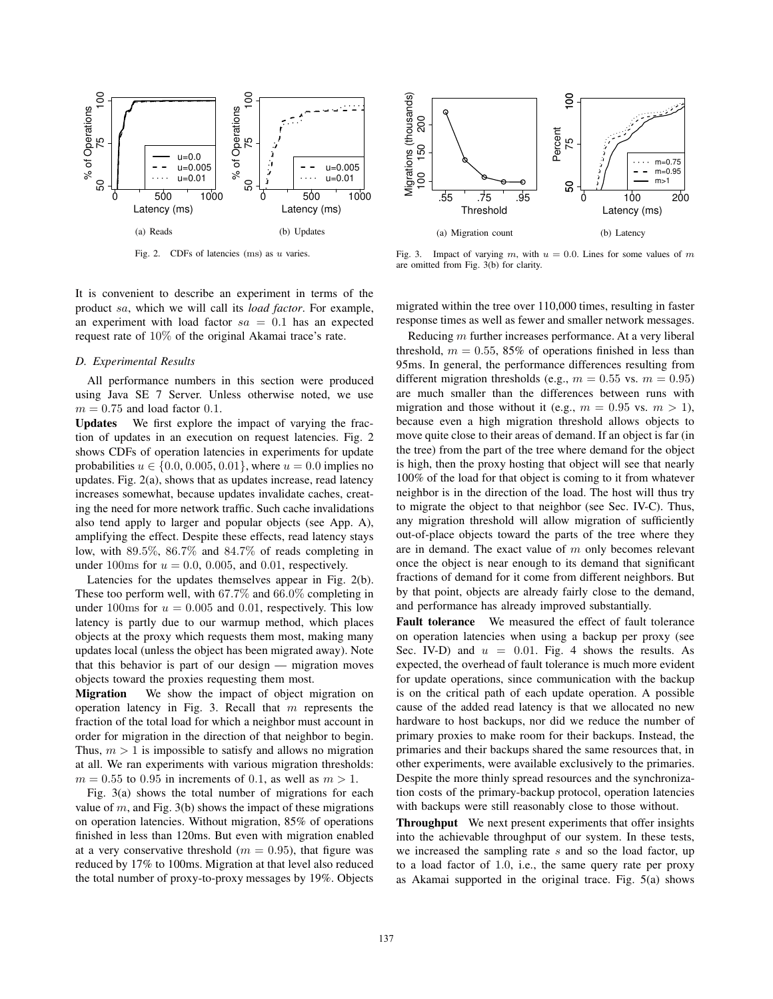

Fig. 2. CDFs of latencies  $(ms)$  as  $u$  varies.

It is convenient to describe an experiment in terms of the product sa, which we will call its *load factor*. For example, an experiment with load factor  $sa = 0.1$  has an expected request rate of 10% of the original Akamai trace's rate.

## *D. Experimental Results*

All performance numbers in this section were produced using Java SE 7 Server. Unless otherwise noted, we use  $m = 0.75$  and load factor 0.1.

Updates We first explore the impact of varying the fraction of updates in an execution on request latencies. Fig. 2 shows CDFs of operation latencies in experiments for update probabilities  $u \in \{0.0, 0.005, 0.01\}$ , where  $u = 0.0$  implies no updates. Fig. 2(a), shows that as updates increase, read latency increases somewhat, because updates invalidate caches, creating the need for more network traffic. Such cache invalidations also tend apply to larger and popular objects (see App. A), amplifying the effect. Despite these effects, read latency stays low, with 89.5%, 86.7% and 84.7% of reads completing in under 100ms for  $u = 0.0, 0.005$ , and 0.01, respectively.

Latencies for the updates themselves appear in Fig. 2(b). These too perform well, with 67.7% and 66.0% completing in under 100ms for  $u = 0.005$  and 0.01, respectively. This low latency is partly due to our warmup method, which places objects at the proxy which requests them most, making many updates local (unless the object has been migrated away). Note that this behavior is part of our design — migration moves objects toward the proxies requesting them most.

Migration We show the impact of object migration on operation latency in Fig. 3. Recall that  $m$  represents the fraction of the total load for which a neighbor must account in order for migration in the direction of that neighbor to begin. Thus,  $m > 1$  is impossible to satisfy and allows no migration at all. We ran experiments with various migration thresholds:  $m = 0.55$  to 0.95 in increments of 0.1, as well as  $m > 1$ .

Fig. 3(a) shows the total number of migrations for each value of  $m$ , and Fig. 3(b) shows the impact of these migrations on operation latencies. Without migration, 85% of operations finished in less than 120ms. But even with migration enabled at a very conservative threshold ( $m = 0.95$ ), that figure was reduced by 17% to 100ms. Migration at that level also reduced the total number of proxy-to-proxy messages by 19%. Objects



Fig. 3. Impact of varying m, with  $u = 0.0$ . Lines for some values of m are omitted from Fig. 3(b) for clarity.

migrated within the tree over 110,000 times, resulting in faster response times as well as fewer and smaller network messages.

Reducing m further increases performance. At a very liberal threshold,  $m = 0.55$ , 85% of operations finished in less than 95ms. In general, the performance differences resulting from different migration thresholds (e.g.,  $m = 0.55$  vs.  $m = 0.95$ ) are much smaller than the differences between runs with migration and those without it (e.g.,  $m = 0.95$  vs.  $m > 1$ ), because even a high migration threshold allows objects to move quite close to their areas of demand. If an object is far (in the tree) from the part of the tree where demand for the object is high, then the proxy hosting that object will see that nearly 100% of the load for that object is coming to it from whatever neighbor is in the direction of the load. The host will thus try to migrate the object to that neighbor (see Sec. IV-C). Thus, any migration threshold will allow migration of sufficiently out-of-place objects toward the parts of the tree where they are in demand. The exact value of  $m$  only becomes relevant once the object is near enough to its demand that significant fractions of demand for it come from different neighbors. But by that point, objects are already fairly close to the demand, and performance has already improved substantially.

Fault tolerance We measured the effect of fault tolerance on operation latencies when using a backup per proxy (see Sec. IV-D) and  $u = 0.01$ . Fig. 4 shows the results. As expected, the overhead of fault tolerance is much more evident for update operations, since communication with the backup is on the critical path of each update operation. A possible cause of the added read latency is that we allocated no new hardware to host backups, nor did we reduce the number of primary proxies to make room for their backups. Instead, the primaries and their backups shared the same resources that, in other experiments, were available exclusively to the primaries. Despite the more thinly spread resources and the synchronization costs of the primary-backup protocol, operation latencies with backups were still reasonably close to those without.

**Throughput** We next present experiments that offer insights into the achievable throughput of our system. In these tests, we increased the sampling rate  $s$  and so the load factor, up to a load factor of 1.0, i.e., the same query rate per proxy as Akamai supported in the original trace. Fig. 5(a) shows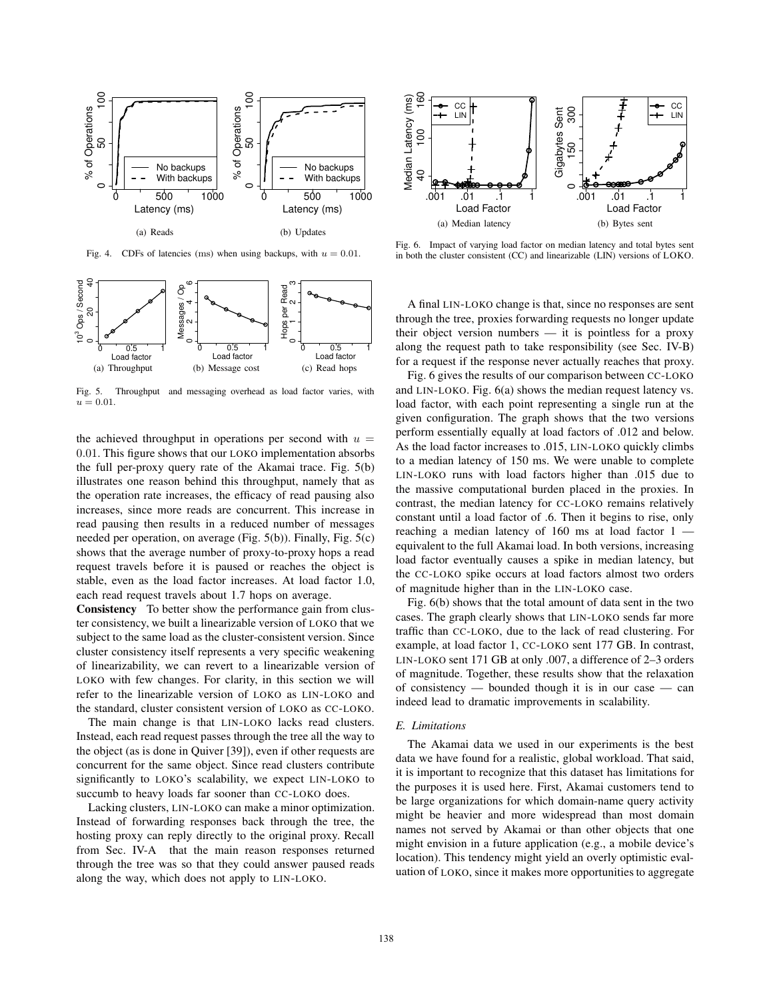

Fig. 4. CDFs of latencies (ms) when using backups, with  $u = 0.01$ .



Fig. 5. Throughput and messaging overhead as load factor varies, with  $u = 0.01$ .

the achieved throughput in operations per second with  $u =$ 0.01. This figure shows that our LOKO implementation absorbs the full per-proxy query rate of the Akamai trace. Fig. 5(b) illustrates one reason behind this throughput, namely that as the operation rate increases, the efficacy of read pausing also increases, since more reads are concurrent. This increase in read pausing then results in a reduced number of messages needed per operation, on average (Fig. 5(b)). Finally, Fig. 5(c) shows that the average number of proxy-to-proxy hops a read request travels before it is paused or reaches the object is stable, even as the load factor increases. At load factor 1.0, each read request travels about 1.7 hops on average.

Consistency To better show the performance gain from cluster consistency, we built a linearizable version of LOKO that we subject to the same load as the cluster-consistent version. Since cluster consistency itself represents a very specific weakening of linearizability, we can revert to a linearizable version of LOKO with few changes. For clarity, in this section we will refer to the linearizable version of LOKO as LIN-LOKO and the standard, cluster consistent version of LOKO as CC-LOKO.

The main change is that LIN-LOKO lacks read clusters. Instead, each read request passes through the tree all the way to the object (as is done in Quiver [39]), even if other requests are concurrent for the same object. Since read clusters contribute significantly to LOKO's scalability, we expect LIN-LOKO to succumb to heavy loads far sooner than CC-LOKO does.

Lacking clusters, LIN-LOKO can make a minor optimization. Instead of forwarding responses back through the tree, the hosting proxy can reply directly to the original proxy. Recall from Sec. IV-A that the main reason responses returned through the tree was so that they could answer paused reads along the way, which does not apply to LIN-LOKO.



Fig. 6. Impact of varying load factor on median latency and total bytes sent in both the cluster consistent (CC) and linearizable (LIN) versions of LOKO.

A final LIN-LOKO change is that, since no responses are sent through the tree, proxies forwarding requests no longer update their object version numbers — it is pointless for a proxy along the request path to take responsibility (see Sec. IV-B) for a request if the response never actually reaches that proxy.

Fig. 6 gives the results of our comparison between CC-LOKO and LIN-LOKO. Fig. 6(a) shows the median request latency vs. load factor, with each point representing a single run at the given configuration. The graph shows that the two versions perform essentially equally at load factors of .012 and below. As the load factor increases to .015, LIN-LOKO quickly climbs to a median latency of 150 ms. We were unable to complete LIN-LOKO runs with load factors higher than .015 due to the massive computational burden placed in the proxies. In contrast, the median latency for CC-LOKO remains relatively constant until a load factor of .6. Then it begins to rise, only reaching a median latency of 160 ms at load factor 1 equivalent to the full Akamai load. In both versions, increasing load factor eventually causes a spike in median latency, but the CC-LOKO spike occurs at load factors almost two orders of magnitude higher than in the LIN-LOKO case.

Fig. 6(b) shows that the total amount of data sent in the two cases. The graph clearly shows that LIN-LOKO sends far more traffic than CC-LOKO, due to the lack of read clustering. For example, at load factor 1, CC-LOKO sent 177 GB. In contrast, LIN-LOKO sent 171 GB at only .007, a difference of 2–3 orders of magnitude. Together, these results show that the relaxation of consistency — bounded though it is in our case — can indeed lead to dramatic improvements in scalability.

## *E. Limitations*

The Akamai data we used in our experiments is the best data we have found for a realistic, global workload. That said, it is important to recognize that this dataset has limitations for the purposes it is used here. First, Akamai customers tend to be large organizations for which domain-name query activity might be heavier and more widespread than most domain names not served by Akamai or than other objects that one might envision in a future application (e.g., a mobile device's location). This tendency might yield an overly optimistic evaluation of LOKO, since it makes more opportunities to aggregate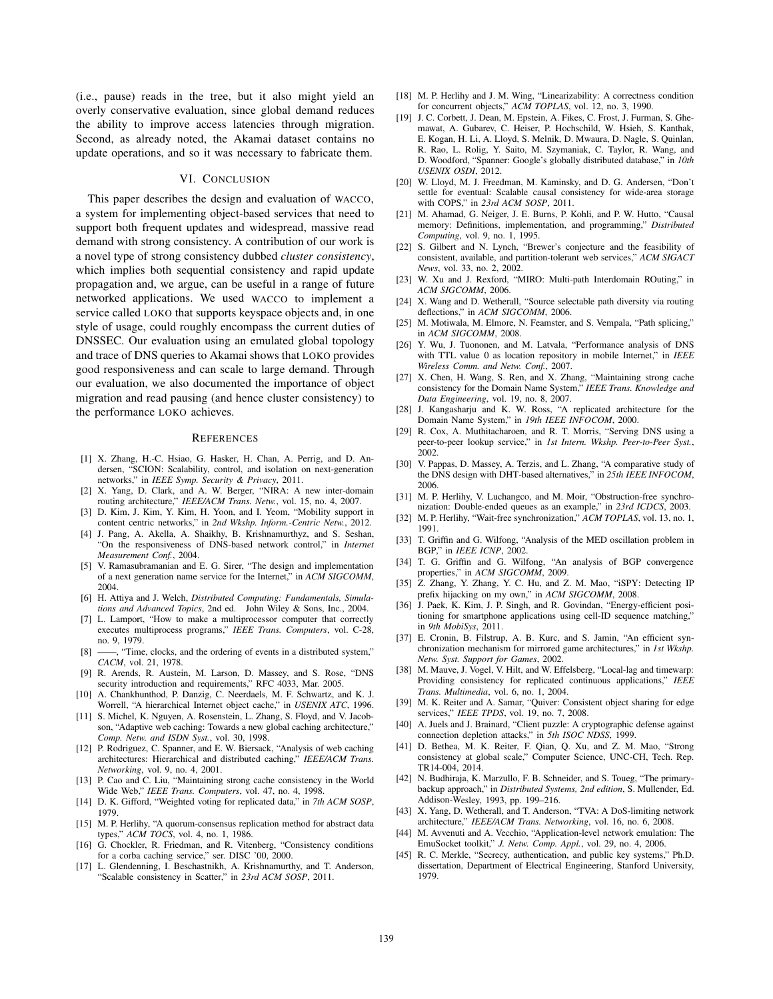(i.e., pause) reads in the tree, but it also might yield an overly conservative evaluation, since global demand reduces the ability to improve access latencies through migration. Second, as already noted, the Akamai dataset contains no update operations, and so it was necessary to fabricate them.

## VI. CONCLUSION

This paper describes the design and evaluation of WACCO, a system for implementing object-based services that need to support both frequent updates and widespread, massive read demand with strong consistency. A contribution of our work is a novel type of strong consistency dubbed *cluster consistency*, which implies both sequential consistency and rapid update propagation and, we argue, can be useful in a range of future networked applications. We used WACCO to implement a service called LOKO that supports keyspace objects and, in one style of usage, could roughly encompass the current duties of DNSSEC. Our evaluation using an emulated global topology and trace of DNS queries to Akamai shows that LOKO provides good responsiveness and can scale to large demand. Through our evaluation, we also documented the importance of object migration and read pausing (and hence cluster consistency) to the performance LOKO achieves.

### **REFERENCES**

- [1] X. Zhang, H.-C. Hsiao, G. Hasker, H. Chan, A. Perrig, and D. Andersen, "SCION: Scalability, control, and isolation on next-generation networks," in *IEEE Symp. Security & Privacy*, 2011.
- [2] X. Yang, D. Clark, and A. W. Berger, "NIRA: A new inter-domain routing architecture," *IEEE/ACM Trans. Netw.*, vol. 15, no. 4, 2007.
- [3] D. Kim, J. Kim, Y. Kim, H. Yoon, and I. Yeom, "Mobility support in content centric networks," in *2nd Wkshp. Inform.-Centric Netw.*, 2012.
- [4] J. Pang, A. Akella, A. Shaikhy, B. Krishnamurthyz, and S. Seshan, "On the responsiveness of DNS-based network control," in *Internet Measurement Conf.*, 2004.
- [5] V. Ramasubramanian and E. G. Sirer, "The design and implementation of a next generation name service for the Internet," in *ACM SIGCOMM*, 2004.
- [6] H. Attiya and J. Welch, *Distributed Computing: Fundamentals, Simulations and Advanced Topics*, 2nd ed. John Wiley & Sons, Inc., 2004.
- [7] L. Lamport, "How to make a multiprocessor computer that correctly executes multiprocess programs," *IEEE Trans. Computers*, vol. C-28, no. 9, 1979.
- [8]  $\frac{1}{100}$  "Time, clocks, and the ordering of events in a distributed system," *CACM*, vol. 21, 1978.
- [9] R. Arends, R. Austein, M. Larson, D. Massey, and S. Rose, "DNS security introduction and requirements," RFC 4033, Mar. 2005.
- [10] A. Chankhunthod, P. Danzig, C. Neerdaels, M. F. Schwartz, and K. J. Worrell, "A hierarchical Internet object cache," in *USENIX ATC*, 1996.
- [11] S. Michel, K. Nguyen, A. Rosenstein, L. Zhang, S. Floyd, and V. Jacobson, "Adaptive web caching: Towards a new global caching architecture," *Comp. Netw. and ISDN Syst.*, vol. 30, 1998.
- [12] P. Rodriguez, C. Spanner, and E. W. Biersack, "Analysis of web caching architectures: Hierarchical and distributed caching," *IEEE/ACM Trans. Networking*, vol. 9, no. 4, 2001.
- [13] P. Cao and C. Liu, "Maintaining strong cache consistency in the World Wide Web," *IEEE Trans. Computers*, vol. 47, no. 4, 1998.
- [14] D. K. Gifford, "Weighted voting for replicated data," in *7th ACM SOSP*, 1979.
- [15] M. P. Herlihy, "A quorum-consensus replication method for abstract data types," *ACM TOCS*, vol. 4, no. 1, 1986.
- [16] G. Chockler, R. Friedman, and R. Vitenberg, "Consistency conditions for a corba caching service," ser. DISC '00, 2000.
- [17] L. Glendenning, I. Beschastnikh, A. Krishnamurthy, and T. Anderson, "Scalable consistency in Scatter," in *23rd ACM SOSP*, 2011.
- [18] M. P. Herlihy and J. M. Wing, "Linearizability: A correctness condition for concurrent objects," *ACM TOPLAS*, vol. 12, no. 3, 1990.
- [19] J. C. Corbett, J. Dean, M. Epstein, A. Fikes, C. Frost, J. Furman, S. Ghemawat, A. Gubarev, C. Heiser, P. Hochschild, W. Hsieh, S. Kanthak, E. Kogan, H. Li, A. Lloyd, S. Melnik, D. Mwaura, D. Nagle, S. Quinlan, R. Rao, L. Rolig, Y. Saito, M. Szymaniak, C. Taylor, R. Wang, and D. Woodford, "Spanner: Google's globally distributed database," in *10th USENIX OSDI*, 2012.
- [20] W. Lloyd, M. J. Freedman, M. Kaminsky, and D. G. Andersen, "Don't settle for eventual: Scalable causal consistency for wide-area storage with COPS," in *23rd ACM SOSP*, 2011.
- [21] M. Ahamad, G. Neiger, J. E. Burns, P. Kohli, and P. W. Hutto, "Causal memory: Definitions, implementation, and programming," *Distributed Computing*, vol. 9, no. 1, 1995.
- [22] S. Gilbert and N. Lynch, "Brewer's conjecture and the feasibility of consistent, available, and partition-tolerant web services," *ACM SIGACT News*, vol. 33, no. 2, 2002.
- [23] W. Xu and J. Rexford, "MIRO: Multi-path Interdomain ROuting," in *ACM SIGCOMM*, 2006.
- [24] X. Wang and D. Wetherall, "Source selectable path diversity via routing deflections," in *ACM SIGCOMM*, 2006.
- [25] M. Motiwala, M. Elmore, N. Feamster, and S. Vempala, "Path splicing," in *ACM SIGCOMM*, 2008.
- [26] Y. Wu, J. Tuononen, and M. Latvala, "Performance analysis of DNS with TTL value 0 as location repository in mobile Internet," in *IEEE Wireless Comm. and Netw. Conf.*, 2007.
- [27] X. Chen, H. Wang, S. Ren, and X. Zhang, "Maintaining strong cache consistency for the Domain Name System," *IEEE Trans. Knowledge and Data Engineering*, vol. 19, no. 8, 2007.
- [28] J. Kangasharju and K. W. Ross, "A replicated architecture for the Domain Name System," in *19th IEEE INFOCOM*, 2000.
- [29] R. Cox, A. Muthitacharoen, and R. T. Morris, "Serving DNS using a peer-to-peer lookup service," in *1st Intern. Wkshp. Peer-to-Peer Syst.*, 2002.
- [30] V. Pappas, D. Massey, A. Terzis, and L. Zhang, "A comparative study of the DNS design with DHT-based alternatives," in *25th IEEE INFOCOM*, 2006.
- [31] M. P. Herlihy, V. Luchangco, and M. Moir, "Obstruction-free synchronization: Double-ended queues as an example," in *23rd ICDCS*, 2003.
- [32] M. P. Herlihy, "Wait-free synchronization," *ACM TOPLAS*, vol. 13, no. 1, 1991.
- [33] T. Griffin and G. Wilfong, "Analysis of the MED oscillation problem in BGP," in *IEEE ICNP*, 2002.
- [34] T. G. Griffin and G. Wilfong, "An analysis of BGP convergence properties," in *ACM SIGCOMM*, 2009.
- [35] Z. Zhang, Y. Zhang, Y. C. Hu, and Z. M. Mao, "iSPY: Detecting IP prefix hijacking on my own," in *ACM SIGCOMM*, 2008.
- [36] J. Paek, K. Kim, J. P. Singh, and R. Govindan, "Energy-efficient positioning for smartphone applications using cell-ID sequence matching," in *9th MobiSys*, 2011.
- [37] E. Cronin, B. Filstrup, A. B. Kurc, and S. Jamin, "An efficient synchronization mechanism for mirrored game architectures," in *1st Wkshp. Netw. Syst. Support for Games*, 2002.
- [38] M. Mauve, J. Vogel, V. Hilt, and W. Effelsberg, "Local-lag and timewarp: Providing consistency for replicated continuous applications," *IEEE Trans. Multimedia*, vol. 6, no. 1, 2004.
- [39] M. K. Reiter and A. Samar, "Quiver: Consistent object sharing for edge services," *IEEE TPDS*, vol. 19, no. 7, 2008.
- [40] A. Juels and J. Brainard, "Client puzzle: A cryptographic defense against connection depletion attacks," in *5th ISOC NDSS*, 1999.
- [41] D. Bethea, M. K. Reiter, F. Qian, Q. Xu, and Z. M. Mao, "Strong consistency at global scale," Computer Science, UNC-CH, Tech. Rep. TR14-004, 2014.
- [42] N. Budhiraja, K. Marzullo, F. B. Schneider, and S. Toueg, "The primarybackup approach," in *Distributed Systems, 2nd edition*, S. Mullender, Ed. Addison-Wesley, 1993, pp. 199–216.
- [43] X. Yang, D. Wetherall, and T. Anderson, "TVA: A DoS-limiting network architecture," *IEEE/ACM Trans. Networking*, vol. 16, no. 6, 2008.
- [44] M. Avvenuti and A. Vecchio, "Application-level network emulation: The EmuSocket toolkit," *J. Netw. Comp. Appl.*, vol. 29, no. 4, 2006.
- R. C. Merkle, "Secrecy, authentication, and public key systems," Ph.D. dissertation, Department of Electrical Engineering, Stanford University, 1979.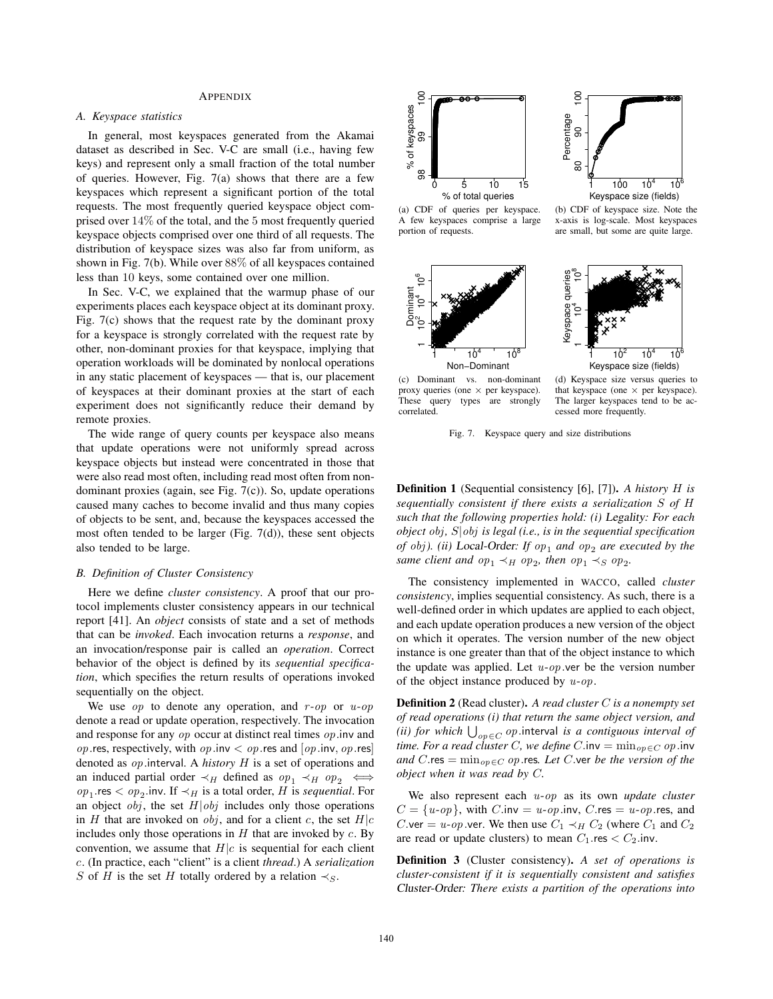## APPENDIX

# *A. Keyspace statistics*

In general, most keyspaces generated from the Akamai dataset as described in Sec. V-C are small (i.e., having few keys) and represent only a small fraction of the total number of queries. However, Fig. 7(a) shows that there are a few keyspaces which represent a significant portion of the total requests. The most frequently queried keyspace object comprised over 14% of the total, and the 5 most frequently queried keyspace objects comprised over one third of all requests. The distribution of keyspace sizes was also far from uniform, as shown in Fig. 7(b). While over 88% of all keyspaces contained less than 10 keys, some contained over one million.

In Sec. V-C, we explained that the warmup phase of our experiments places each keyspace object at its dominant proxy. Fig. 7(c) shows that the request rate by the dominant proxy for a keyspace is strongly correlated with the request rate by other, non-dominant proxies for that keyspace, implying that operation workloads will be dominated by nonlocal operations in any static placement of keyspaces — that is, our placement of keyspaces at their dominant proxies at the start of each experiment does not significantly reduce their demand by remote proxies.

The wide range of query counts per keyspace also means that update operations were not uniformly spread across keyspace objects but instead were concentrated in those that were also read most often, including read most often from nondominant proxies (again, see Fig. 7(c)). So, update operations caused many caches to become invalid and thus many copies of objects to be sent, and, because the keyspaces accessed the most often tended to be larger (Fig. 7(d)), these sent objects also tended to be large.

#### *B. Definition of Cluster Consistency*

Here we define *cluster consistency*. A proof that our protocol implements cluster consistency appears in our technical report [41]. An *object* consists of state and a set of methods that can be *invoked*. Each invocation returns a *response*, and an invocation/response pair is called an *operation*. Correct behavior of the object is defined by its *sequential specification*, which specifies the return results of operations invoked sequentially on the object.

We use  $op$  to denote any operation, and  $r$ -op or  $u$ -op denote a read or update operation, respectively. The invocation and response for any op occur at distinct real times op.inv and *op.res, respectively, with op.inv*  $\langle$  *op.res* and  $[op.inv, op.res]$ denoted as op.interval. A *history* H is a set of operations and an induced partial order  $\prec_H$  defined as  $op_1 \prec_H op_2 \iff$ *op*<sub>1</sub>.res < *op*<sub>2</sub>.inv. If  $\prec$ <sub>H</sub> is a total order, H is *sequential*. For an object  $obj$ , the set  $H|obj$  includes only those operations in H that are invoked on  $obj$ , and for a client c, the set  $H|c$ includes only those operations in  $H$  that are invoked by  $c$ . By convention, we assume that  $H|c$  is sequential for each client c. (In practice, each "client" is a client *thread*.) A *serialization* S of H is the set H totally ordered by a relation  $\prec_S$ .





(b) CDF of keyspace size. Note the x-axis is log-scale. Most keyspaces are small, but some are quite large.

(a) CDF of queries per keyspace. A few keyspaces comprise a large portion of requests.



(c) Dominant vs. non-dominant proxy queries (one  $\times$  per keyspace). These query types are strongly correlated.

(d) Keyspace size versus queries to that keyspace (one  $\times$  per keyspace). The larger keyspaces tend to be accessed more frequently.

Fig. 7. Keyspace query and size distributions

Definition 1 (Sequential consistency [6], [7]). *A history* H *is sequentially consistent if there exists a serialization* S *of* H *such that the following properties hold: (i)* Legality*: For each object* obj*,* S|obj *is legal (i.e., is in the sequential specification of obj*). (*ii*) Local-Order: If  $op_1$  *and*  $op_2$  *are executed by the same client and op*<sub>1</sub>  $\prec$ <sub>H</sub> op<sub>2</sub>*, then op*<sub>1</sub>  $\prec$ <sub>S</sub> op<sub>2</sub>*.* 

The consistency implemented in WACCO, called *cluster consistency*, implies sequential consistency. As such, there is a well-defined order in which updates are applied to each object, and each update operation produces a new version of the object on which it operates. The version number of the new object instance is one greater than that of the object instance to which the update was applied. Let  $u$ -op.ver be the version number of the object instance produced by  $u$ -op.

Definition 2 (Read cluster). *A read cluster* C *is a nonempty set of read operations (i) that return the same object version, and (ii) for which*  $\bigcup_{op \in C} op$  interval *is a contiguous interval of time. For a read cluster* C, we define C.inv =  $\min_{op \in C} op$  inv *and*  $C$ .res =  $\min_{op \in C} op$ .res. Let  $C$ .ver *be the version of the object when it was read by* C*.*

We also represent each u-op as its own *update cluster*  $C = \{u \text{-} op\}$ , with  $C.\text{inv} = u \text{-} op.\text{inv}$ ,  $C.\text{res} = u \text{-} op.\text{res}$ , and C.ver = u-op.ver. We then use  $C_1 \prec_H C_2$  (where  $C_1$  and  $C_2$ ) are read or update clusters) to mean  $C_1$  res  $\lt C_2$  inv.

Definition 3 (Cluster consistency). *A set of operations is cluster-consistent if it is sequentially consistent and satisfies* Cluster-Order*: There exists a partition of the operations into*